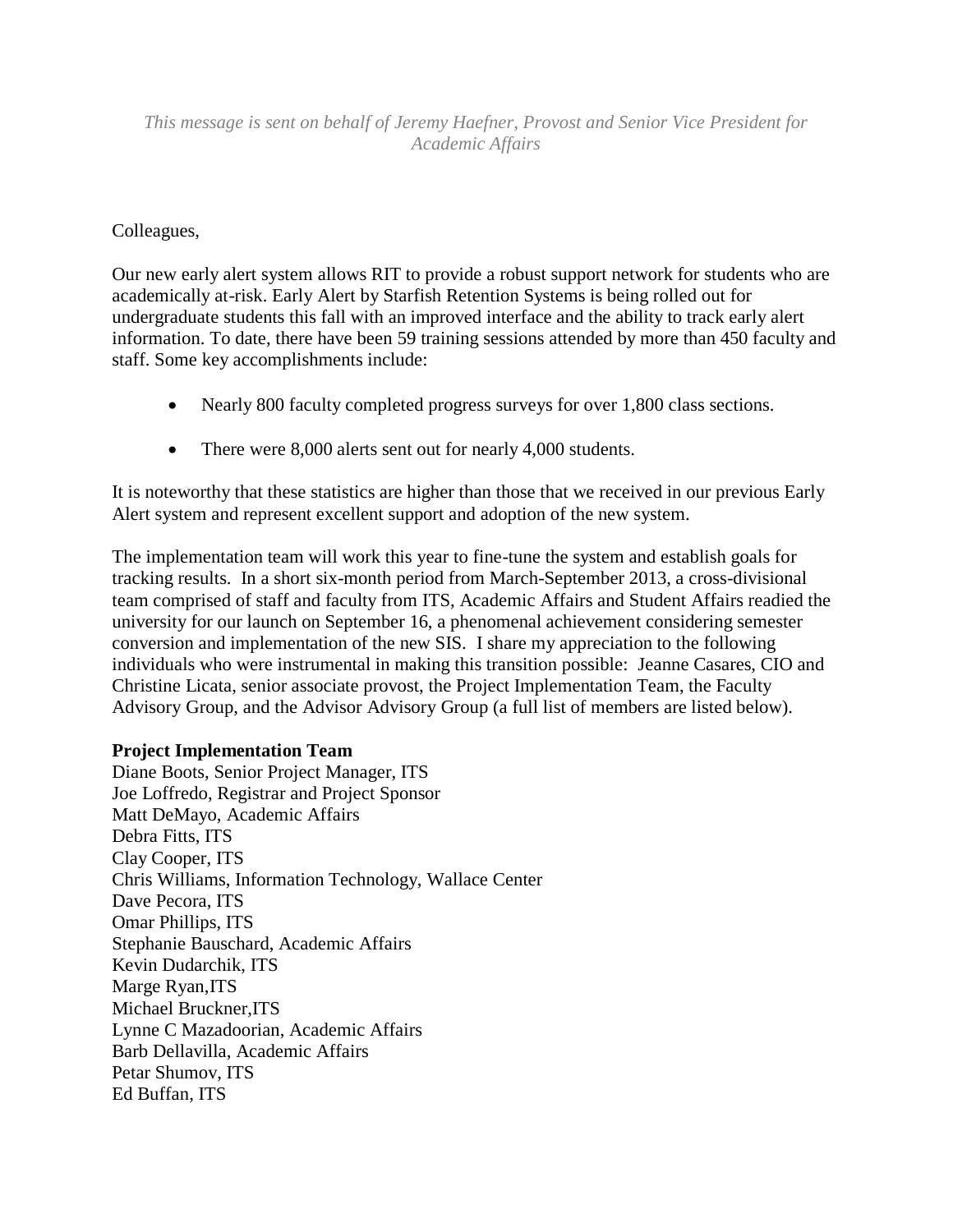# *This message is sent on behalf of Jeremy Haefner, Provost and Senior Vice President for Academic Affairs*

# Colleagues,

Our new early alert system allows RIT to provide a robust support network for students who are academically at-risk. Early Alert by Starfish Retention Systems is being rolled out for undergraduate students this fall with an improved interface and the ability to track early alert information. To date, there have been 59 training sessions attended by more than 450 faculty and staff. Some key accomplishments include:

- Nearly 800 faculty completed progress surveys for over 1,800 class sections.
- There were 8,000 alerts sent out for nearly 4,000 students.

It is noteworthy that these statistics are higher than those that we received in our previous Early Alert system and represent excellent support and adoption of the new system.

The implementation team will work this year to fine-tune the system and establish goals for tracking results. In a short six-month period from March-September 2013, a cross-divisional team comprised of staff and faculty from ITS, Academic Affairs and Student Affairs readied the university for our launch on September 16, a phenomenal achievement considering semester conversion and implementation of the new SIS. I share my appreciation to the following individuals who were instrumental in making this transition possible: Jeanne Casares, CIO and Christine Licata, senior associate provost, the Project Implementation Team, the Faculty Advisory Group, and the Advisor Advisory Group (a full list of members are listed below).

## **Project Implementation Team**

Diane Boots, Senior Project Manager, ITS Joe Loffredo, Registrar and Project Sponsor Matt DeMayo, Academic Affairs Debra Fitts, ITS Clay Cooper, ITS Chris Williams, Information Technology, Wallace Center Dave Pecora, ITS Omar Phillips, ITS Stephanie Bauschard, Academic Affairs Kevin Dudarchik, ITS Marge Ryan, ITS Michael Bruckner,ITS Lynne C Mazadoorian, Academic Affairs Barb Dellavilla, Academic Affairs Petar Shumov, ITS Ed Buffan, ITS